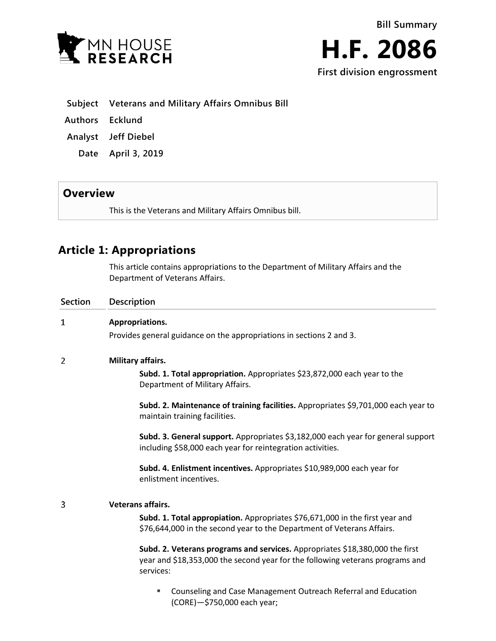



|  | Subject Veterans and Military Affairs Omnibus Bill |  |  |  |  |  |
|--|----------------------------------------------------|--|--|--|--|--|
|--|----------------------------------------------------|--|--|--|--|--|

- **Authors Ecklund**
- **Analyst Jeff Diebel**
	- **Date April 3, 2019**

## **Overview**

This is the Veterans and Military Affairs Omnibus bill.

# **Article 1: Appropriations**

This article contains appropriations to the Department of Military Affairs and the Department of Veterans Affairs.

| <b>Section</b> | <b>Description</b>                                                                                                                                                         |  |  |  |  |
|----------------|----------------------------------------------------------------------------------------------------------------------------------------------------------------------------|--|--|--|--|
| 1              | Appropriations.                                                                                                                                                            |  |  |  |  |
|                | Provides general guidance on the appropriations in sections 2 and 3.                                                                                                       |  |  |  |  |
| 2              | Military affairs.                                                                                                                                                          |  |  |  |  |
|                | Subd. 1. Total appropriation. Appropriates \$23,872,000 each year to the<br>Department of Military Affairs.                                                                |  |  |  |  |
|                | Subd. 2. Maintenance of training facilities. Appropriates \$9,701,000 each year to<br>maintain training facilities.                                                        |  |  |  |  |
|                | Subd. 3. General support. Appropriates \$3,182,000 each year for general support<br>including \$58,000 each year for reintegration activities.                             |  |  |  |  |
|                | Subd. 4. Enlistment incentives. Appropriates \$10,989,000 each year for<br>enlistment incentives.                                                                          |  |  |  |  |
| 3              | <b>Veterans affairs.</b>                                                                                                                                                   |  |  |  |  |
|                | Subd. 1. Total appropiation. Appropriates \$76,671,000 in the first year and<br>\$76,644,000 in the second year to the Department of Veterans Affairs.                     |  |  |  |  |
|                | Subd. 2. Veterans programs and services. Appropriates \$18,380,000 the first<br>year and \$18,353,000 the second year for the following veterans programs and<br>services: |  |  |  |  |
|                | Counseling and Case Management Outreach Referral and Education<br>٠                                                                                                        |  |  |  |  |

(CORE)—\$750,000 each year;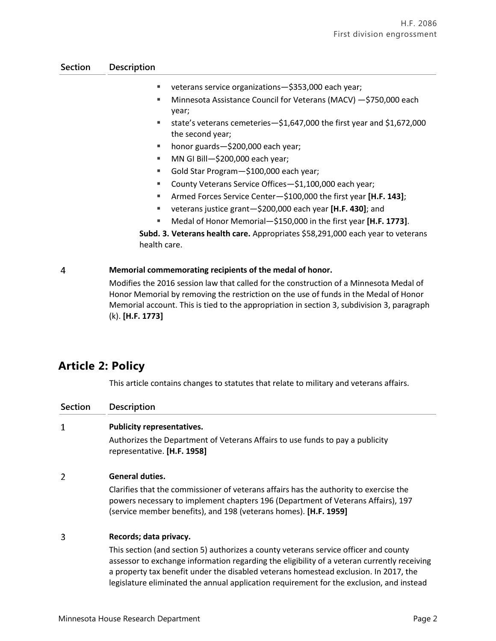## **Section Description**

- veterans service organizations—\$353,000 each year;
- Minnesota Assistance Council for Veterans (MACV) —\$750,000 each year;
- state's veterans cemeteries—\$1,647,000 the first year and \$1,672,000 the second year;
- honor guards—\$200,000 each year;
- MN GI Bill—\$200,000 each year;
- Gold Star Program-\$100,000 each year;
- County Veterans Service Offices—\$1,100,000 each year;
- Armed Forces Service Center—\$100,000 the first year **[H.F. 143]**;
- veterans justice grant—\$200,000 each year **[H.F. 430]**; and
- Medal of Honor Memorial—\$150,000 in the first year **[H.F. 1773]**.

**Subd. 3. Veterans health care.** Appropriates \$58,291,000 each year to veterans health care.

#### $\overline{4}$ **Memorial commemorating recipients of the medal of honor.**

Modifies the 2016 session law that called for the construction of a Minnesota Medal of Honor Memorial by removing the restriction on the use of funds in the Medal of Honor Memorial account. This is tied to the appropriation in section 3, subdivision 3, paragraph (k). **[H.F. 1773]**

# **Article 2: Policy**

This article contains changes to statutes that relate to military and veterans affairs.

| <b>Section</b> | Description                                                                                                                                                                                                                                                                                                                                                             |  |  |  |  |
|----------------|-------------------------------------------------------------------------------------------------------------------------------------------------------------------------------------------------------------------------------------------------------------------------------------------------------------------------------------------------------------------------|--|--|--|--|
| 1              | <b>Publicity representatives.</b>                                                                                                                                                                                                                                                                                                                                       |  |  |  |  |
|                | Authorizes the Department of Veterans Affairs to use funds to pay a publicity<br>representative. [H.F. 1958]                                                                                                                                                                                                                                                            |  |  |  |  |
| 2              | <b>General duties.</b>                                                                                                                                                                                                                                                                                                                                                  |  |  |  |  |
|                | Clarifies that the commissioner of veterans affairs has the authority to exercise the<br>powers necessary to implement chapters 196 (Department of Veterans Affairs), 197<br>(service member benefits), and 198 (veterans homes). [H.F. 1959]                                                                                                                           |  |  |  |  |
| 3              | Records; data privacy.                                                                                                                                                                                                                                                                                                                                                  |  |  |  |  |
|                | This section (and section 5) authorizes a county veterans service officer and county<br>assessor to exchange information regarding the eligibility of a veteran currently receiving<br>a property tax benefit under the disabled veterans homestead exclusion. In 2017, the<br>legislature eliminated the annual application requirement for the exclusion, and instead |  |  |  |  |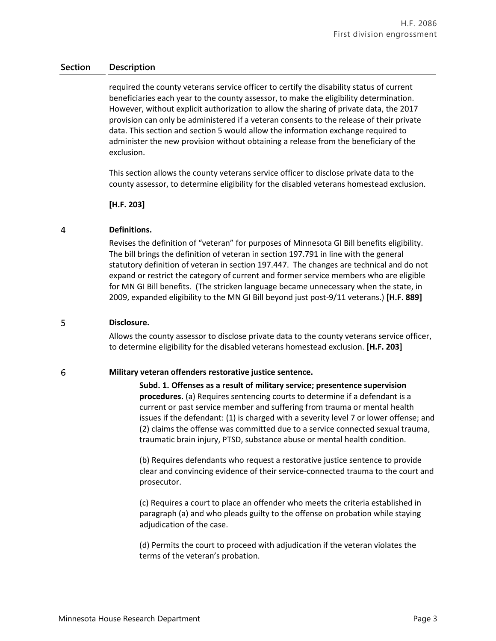## **Section Description**

required the county veterans service officer to certify the disability status of current beneficiaries each year to the county assessor, to make the eligibility determination. However, without explicit authorization to allow the sharing of private data, the 2017 provision can only be administered if a veteran consents to the release of their private data. This section and section 5 would allow the information exchange required to administer the new provision without obtaining a release from the beneficiary of the exclusion.

This section allows the county veterans service officer to disclose private data to the county assessor, to determine eligibility for the disabled veterans homestead exclusion.

**[H.F. 203]**

#### $\overline{4}$ **Definitions.**

Revises the definition of "veteran" for purposes of Minnesota GI Bill benefits eligibility. The bill brings the definition of veteran in section 197.791 in line with the general statutory definition of veteran in section 197.447. The changes are technical and do not expand or restrict the category of current and former service members who are eligible for MN GI Bill benefits. (The stricken language became unnecessary when the state, in 2009, expanded eligibility to the MN GI Bill beyond just post-9/11 veterans.) **[H.F. 889]**

#### 5 **Disclosure.**

Allows the county assessor to disclose private data to the county veterans service officer, to determine eligibility for the disabled veterans homestead exclusion. **[H.F. 203]**

#### 6 **Military veteran offenders restorative justice sentence.**

**Subd. 1. Offenses as a result of military service; presentence supervision procedures.** (a) Requires sentencing courts to determine if a defendant is a current or past service member and suffering from trauma or mental health issues if the defendant: (1) is charged with a severity level 7 or lower offense; and (2) claims the offense was committed due to a service connected sexual trauma, traumatic brain injury, PTSD, substance abuse or mental health condition.

(b) Requires defendants who request a restorative justice sentence to provide clear and convincing evidence of their service-connected trauma to the court and prosecutor.

(c) Requires a court to place an offender who meets the criteria established in paragraph (a) and who pleads guilty to the offense on probation while staying adjudication of the case.

(d) Permits the court to proceed with adjudication if the veteran violates the terms of the veteran's probation.